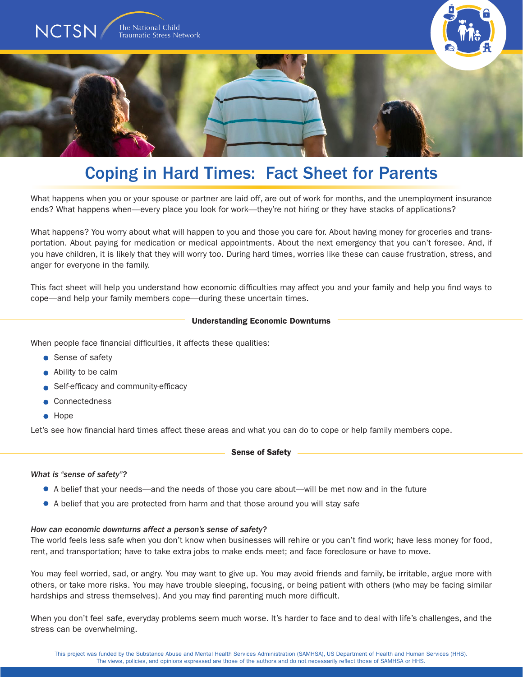

# Coping in Hard Times: Fact Sheet for Parents

What happens when you or your spouse or partner are laid off, are out of work for months, and the unemployment insurance ends? What happens when—every place you look for work—they're not hiring or they have stacks of applications?

What happens? You worry about what will happen to you and those you care for. About having money for groceries and transportation. About paying for medication or medical appointments. About the next emergency that you can't foresee. And, if you have children, it is likely that they will worry too. During hard times, worries like these can cause frustration, stress, and anger for everyone in the family.

This fact sheet will help you understand how economic difficulties may affect you and your family and help you find ways to cope—and help your family members cope—during these uncertain times.

## Understanding Economic Downturns

When people face financial difficulties, it affects these qualities:

- Sense of safety
- Ability to be calm
- Self-efficacy and community-efficacy
- Connectedness
- Hope

Let's see how financial hard times affect these areas and what you can do to cope or help family members cope.

Sense of Safety

# *What is "sense of safety"?*

- A belief that your needs—and the needs of those you care about—will be met now and in the future
- A belief that you are protected from harm and that those around you will stay safe

#### *How can economic downturns affect a person's sense of safety?*

The world feels less safe when you don't know when businesses will rehire or you can't find work; have less money for food, rent, and transportation; have to take extra jobs to make ends meet; and face foreclosure or have to move.

You may feel worried, sad, or angry. You may want to give up. You may avoid friends and family, be irritable, argue more with others, or take more risks. You may have trouble sleeping, focusing, or being patient with others (who may be facing similar hardships and stress themselves). And you may find parenting much more difficult.

When you don't feel safe, everyday problems seem much worse. It's harder to face and to deal with life's challenges, and the stress can be overwhelming.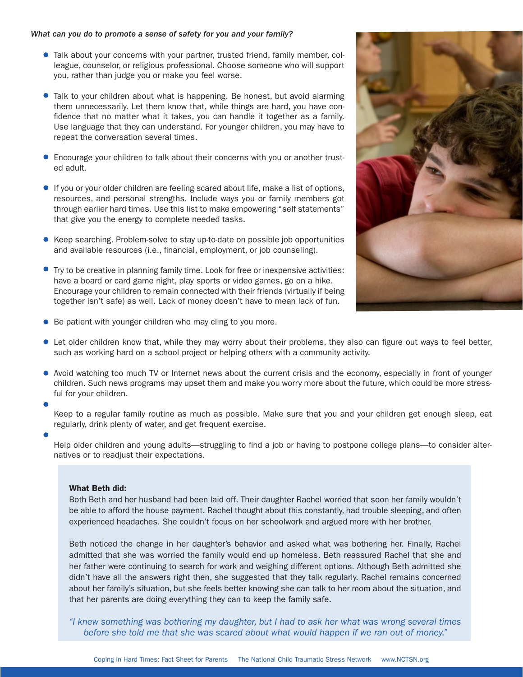## *What can you do to promote a sense of safety for you and your family?*

- Talk about your concerns with your partner, trusted friend, family member, colleague, counselor, or religious professional. Choose someone who will support you, rather than judge you or make you feel worse.
- Talk to your children about what is happening. Be honest, but avoid alarming them unnecessarily. Let them know that, while things are hard, you have confidence that no matter what it takes, you can handle it together as a family. Use language that they can understand. For younger children, you may have to repeat the conversation several times.
- Encourage your children to talk about their concerns with you or another trusted adult.
- If you or your older children are feeling scared about life, make a list of options, resources, and personal strengths. Include ways you or family members got through earlier hard times. Use this list to make empowering "self statements" that give you the energy to complete needed tasks.
- Keep searching. Problem-solve to stay up-to-date on possible job opportunities and available resources (i.e., financial, employment, or job counseling).
- Try to be creative in planning family time. Look for free or inexpensive activities: have a board or card game night, play sports or video games, go on a hike. Encourage your children to remain connected with their friends (virtually if being together isn't safe) as well. Lack of money doesn't have to mean lack of fun.



- Be patient with younger children who may cling to you more.
- Let older children know that, while they may worry about their problems, they also can figure out ways to feel better, such as working hard on a school project or helping others with a community activity.
- Avoid watching too much TV or Internet news about the current crisis and the economy, especially in front of younger children. Such news programs may upset them and make you worry more about the future, which could be more stressful for your children.
- 

Keep to a regular family routine as much as possible. Make sure that you and your children get enough sleep, eat regularly, drink plenty of water, and get frequent exercise.

Help older children and young adults—struggling to find a job or having to postpone college plans—to consider alternatives or to readjust their expectations.

#### What Beth did:

Both Beth and her husband had been laid off. Their daughter Rachel worried that soon her family wouldn't be able to afford the house payment. Rachel thought about this constantly, had trouble sleeping, and often experienced headaches. She couldn't focus on her schoolwork and argued more with her brother.

Beth noticed the change in her daughter's behavior and asked what was bothering her. Finally, Rachel admitted that she was worried the family would end up homeless. Beth reassured Rachel that she and her father were continuing to search for work and weighing different options. Although Beth admitted she didn't have all the answers right then, she suggested that they talk regularly. Rachel remains concerned about her family's situation, but she feels better knowing she can talk to her mom about the situation, and that her parents are doing everything they can to keep the family safe.

*"I knew something was bothering my daughter, but I had to ask her what was wrong several times before she told me that she was scared about what would happen if we ran out of money."*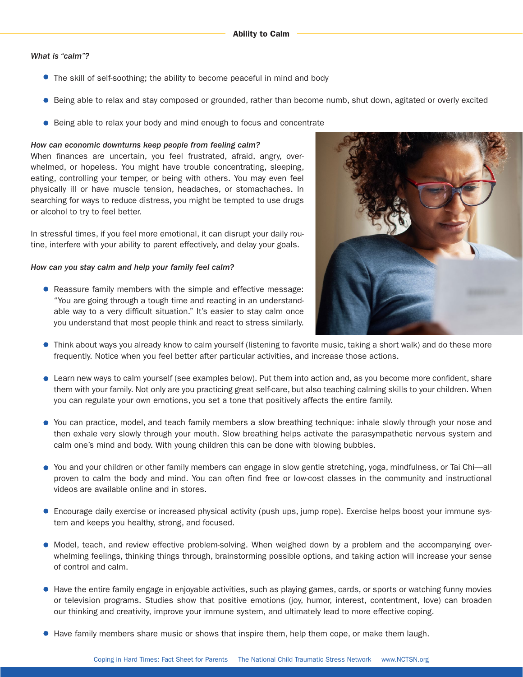# *What is "calm"?*

- The skill of self-soothing; the ability to become peaceful in mind and body
- Being able to relax and stay composed or grounded, rather than become numb, shut down, agitated or overly excited
- Being able to relax your body and mind enough to focus and concentrate

## *How can economic downturns keep people from feeling calm?*

When finances are uncertain, you feel frustrated, afraid, angry, overwhelmed, or hopeless. You might have trouble concentrating, sleeping, eating, controlling your temper, or being with others. You may even feel physically ill or have muscle tension, headaches, or stomachaches. In searching for ways to reduce distress, you might be tempted to use drugs or alcohol to try to feel better.

In stressful times, if you feel more emotional, it can disrupt your daily routine, interfere with your ability to parent effectively, and delay your goals.

## *How can you stay calm and help your family feel calm?*

• Reassure family members with the simple and effective message: "You are going through a tough time and reacting in an understandable way to a very difficult situation." It's easier to stay calm once you understand that most people think and react to stress similarly.



- Think about ways you already know to calm yourself (listening to favorite music, taking a short walk) and do these more frequently. Notice when you feel better after particular activities, and increase those actions.
- Learn new ways to calm yourself (see examples below). Put them into action and, as you become more confident, share them with your family. Not only are you practicing great self-care, but also teaching calming skills to your children. When you can regulate your own emotions, you set a tone that positively affects the entire family.
- You can practice, model, and teach family members a slow breathing technique: inhale slowly through your nose and then exhale very slowly through your mouth. Slow breathing helps activate the parasympathetic nervous system and calm one's mind and body. With young children this can be done with blowing bubbles.
- You and your children or other family members can engage in slow gentle stretching, yoga, mindfulness, or Tai Chi—all proven to calm the body and mind. You can often find free or low-cost classes in the community and instructional videos are available online and in stores.
- Encourage daily exercise or increased physical activity (push ups, jump rope). Exercise helps boost your immune system and keeps you healthy, strong, and focused.
- Model, teach, and review effective problem-solving. When weighed down by a problem and the accompanying overwhelming feelings, thinking things through, brainstorming possible options, and taking action will increase your sense of control and calm.
- Have the entire family engage in enjoyable activities, such as playing games, cards, or sports or watching funny movies or television programs. Studies show that positive emotions (joy, humor, interest, contentment, love) can broaden our thinking and creativity, improve your immune system, and ultimately lead to more effective coping.
- Have family members share music or shows that inspire them, help them cope, or make them laugh.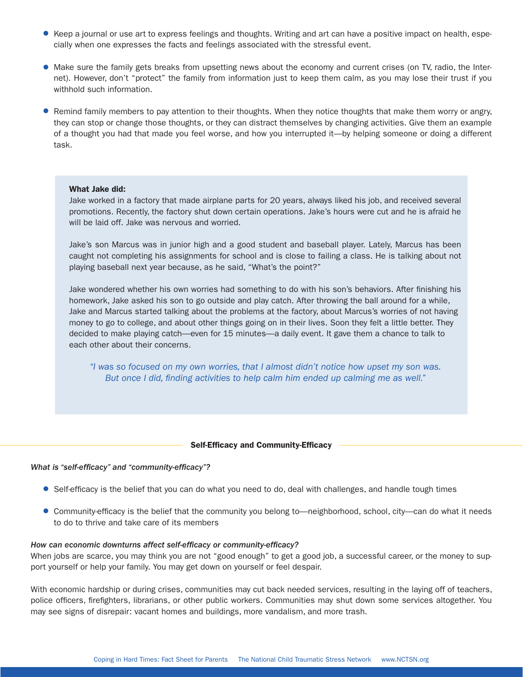- Keep a journal or use art to express feelings and thoughts. Writing and art can have a positive impact on health, especially when one expresses the facts and feelings associated with the stressful event.
- Make sure the family gets breaks from upsetting news about the economy and current crises (on TV, radio, the Internet). However, don't "protect" the family from information just to keep them calm, as you may lose their trust if you withhold such information.
- Remind family members to pay attention to their thoughts. When they notice thoughts that make them worry or angry, they can stop or change those thoughts, or they can distract themselves by changing activities. Give them an example of a thought you had that made you feel worse, and how you interrupted it—by helping someone or doing a different task.

# What Jake did:

Jake worked in a factory that made airplane parts for 20 years, always liked his job, and received several promotions. Recently, the factory shut down certain operations. Jake's hours were cut and he is afraid he will be laid off. Jake was nervous and worried.

Jake's son Marcus was in junior high and a good student and baseball player. Lately, Marcus has been caught not completing his assignments for school and is close to failing a class. He is talking about not playing baseball next year because, as he said, "What's the point?"

Jake wondered whether his own worries had something to do with his son's behaviors. After finishing his homework, Jake asked his son to go outside and play catch. After throwing the ball around for a while, Jake and Marcus started talking about the problems at the factory, about Marcus's worries of not having money to go to college, and about other things going on in their lives. Soon they felt a little better. They decided to make playing catch—even for 15 minutes—a daily event. It gave them a chance to talk to each other about their concerns.

*"I was so focused on my own worries, that I almost didn't notice how upset my son was. But once I did, finding activities to help calm him ended up calming me as well."*

#### Self-Efficacy and Community-Efficacy

#### *What is "self-efficacy" and "community-efficacy"?*

- Self-efficacy is the belief that you can do what you need to do, deal with challenges, and handle tough times
- Community-efficacy is the belief that the community you belong to—neighborhood, school, city—can do what it needs to do to thrive and take care of its members

## *How can economic downturns affect self-efficacy or community-efficacy?*

When jobs are scarce, you may think you are not "good enough" to get a good job, a successful career, or the money to support yourself or help your family. You may get down on yourself or feel despair.

With economic hardship or during crises, communities may cut back needed services, resulting in the laying off of teachers, police officers, firefighters, librarians, or other public workers. Communities may shut down some services altogether. You may see signs of disrepair: vacant homes and buildings, more vandalism, and more trash.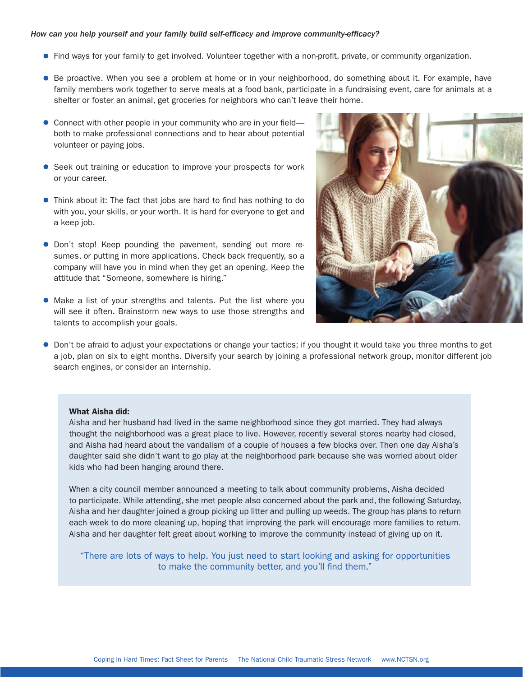## *How can you help yourself and your family build self-efficacy and improve community-efficacy?*

- Find ways for your family to get involved. Volunteer together with a non-profit, private, or community organization.
- Be proactive. When you see a problem at home or in your neighborhood, do something about it. For example, have family members work together to serve meals at a food bank, participate in a fundraising event, care for animals at a shelter or foster an animal, get groceries for neighbors who can't leave their home.
- Connect with other people in your community who are in your fieldboth to make professional connections and to hear about potential volunteer or paying jobs.
- Seek out training or education to improve your prospects for work or your career.
- Think about it: The fact that jobs are hard to find has nothing to do with you, your skills, or your worth. It is hard for everyone to get and a keep job.
- **•** Don't stop! Keep pounding the pavement, sending out more resumes, or putting in more applications. Check back frequently, so a company will have you in mind when they get an opening. Keep the attitude that "Someone, somewhere is hiring."
- Make a list of your strengths and talents. Put the list where you will see it often. Brainstorm new ways to use those strengths and talents to accomplish your goals.



Don't be afraid to adjust your expectations or change your tactics; if you thought it would take you three months to get a job, plan on six to eight months. Diversify your search by joining a professional network group, monitor different job search engines, or consider an internship.

## What Aisha did:

Aisha and her husband had lived in the same neighborhood since they got married. They had always thought the neighborhood was a great place to live. However, recently several stores nearby had closed, and Aisha had heard about the vandalism of a couple of houses a few blocks over. Then one day Aisha's daughter said she didn't want to go play at the neighborhood park because she was worried about older kids who had been hanging around there.

When a city council member announced a meeting to talk about community problems, Aisha decided to participate. While attending, she met people also concerned about the park and, the following Saturday, Aisha and her daughter joined a group picking up litter and pulling up weeds. The group has plans to return each week to do more cleaning up, hoping that improving the park will encourage more families to return. Aisha and her daughter felt great about working to improve the community instead of giving up on it.

"There are lots of ways to help. You just need to start looking and asking for opportunities to make the community better, and you'll find them."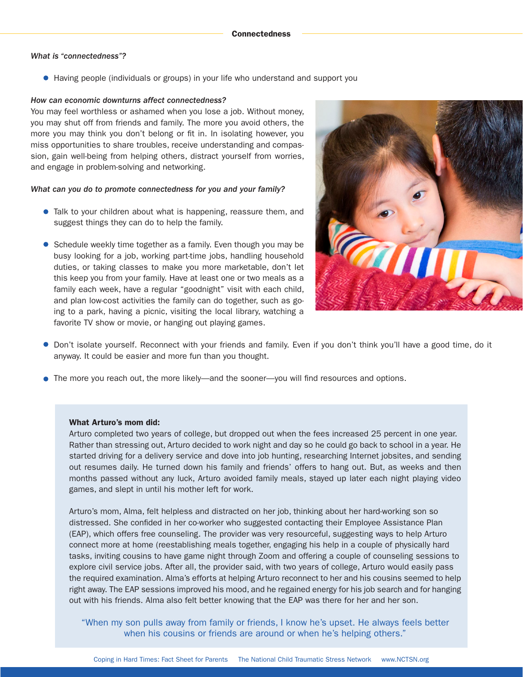## *What is "connectedness"?*

Having people (individuals or groups) in your life who understand and support you

## *How can economic downturns affect connectedness?*

You may feel worthless or ashamed when you lose a job. Without money, you may shut off from friends and family. The more you avoid others, the more you may think you don't belong or fit in. In isolating however, you miss opportunities to share troubles, receive understanding and compassion, gain well-being from helping others, distract yourself from worries, and engage in problem-solving and networking.

## *What can you do to promote connectedness for you and your family?*

- **Talk to your children about what is happening, reassure them, and** suggest things they can do to help the family.
- Schedule weekly time together as a family. Even though you may be busy looking for a job, working part-time jobs, handling household duties, or taking classes to make you more marketable, don't let this keep you from your family. Have at least one or two meals as a family each week, have a regular "goodnight" visit with each child, and plan low-cost activities the family can do together, such as going to a park, having a picnic, visiting the local library, watching a favorite TV show or movie, or hanging out playing games.



- Don't isolate yourself. Reconnect with your friends and family. Even if you don't think you'll have a good time, do it anyway. It could be easier and more fun than you thought.
- The more you reach out, the more likely—and the sooner—you will find resources and options.

# What Arturo's mom did:

Arturo completed two years of college, but dropped out when the fees increased 25 percent in one year. Rather than stressing out, Arturo decided to work night and day so he could go back to school in a year. He started driving for a delivery service and dove into job hunting, researching Internet jobsites, and sending out resumes daily. He turned down his family and friends' offers to hang out. But, as weeks and then months passed without any luck, Arturo avoided family meals, stayed up later each night playing video games, and slept in until his mother left for work.

Arturo's mom, Alma, felt helpless and distracted on her job, thinking about her hard-working son so distressed. She confided in her co-worker who suggested contacting their Employee Assistance Plan (EAP), which offers free counseling. The provider was very resourceful, suggesting ways to help Arturo connect more at home (reestablishing meals together, engaging his help in a couple of physically hard tasks, inviting cousins to have game night through Zoom and offering a couple of counseling sessions to explore civil service jobs. After all, the provider said, with two years of college, Arturo would easily pass the required examination. Alma's efforts at helping Arturo reconnect to her and his cousins seemed to help right away. The EAP sessions improved his mood, and he regained energy for his job search and for hanging out with his friends. Alma also felt better knowing that the EAP was there for her and her son.

"When my son pulls away from family or friends, I know he's upset. He always feels better when his cousins or friends are around or when he's helping others."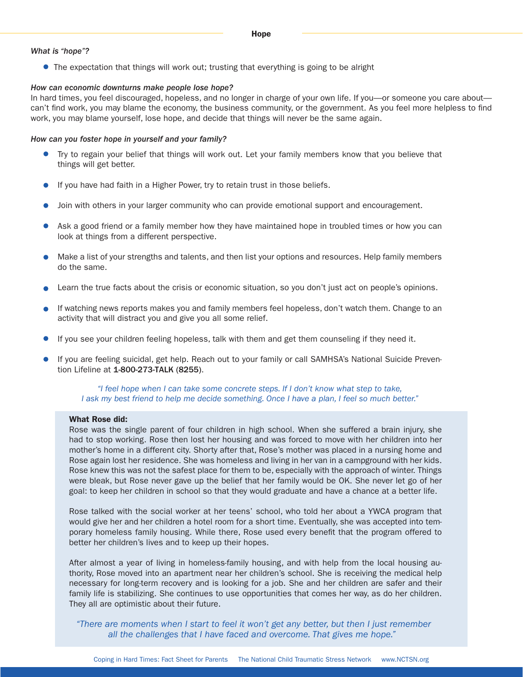## *What is "hope"?*

• The expectation that things will work out; trusting that everything is going to be alright

## *How can economic downturns make people lose hope?*

In hard times, you feel discouraged, hopeless, and no longer in charge of your own life. If you—or someone you care aboutcan't find work, you may blame the economy, the business community, or the government. As you feel more helpless to find work, you may blame yourself, lose hope, and decide that things will never be the same again.

## *How can you foster hope in yourself and your family?*

- **Try to regain your belief that things will work out. Let your family members know that you believe that** things will get better.
- **If you have had faith in a Higher Power, try to retain trust in those beliefs.**
- Join with others in your larger community who can provide emotional support and encouragement.
- Ask a good friend or a family member how they have maintained hope in troubled times or how you can look at things from a different perspective.
- Make a list of your strengths and talents, and then list your options and resources. Help family members do the same.
- Learn the true facts about the crisis or economic situation, so you don't just act on people's opinions.
- If watching news reports makes you and family members feel hopeless, don't watch them. Change to an activity that will distract you and give you all some relief.
- If you see your children feeling hopeless, talk with them and get them counseling if they need it.
- If you are feeling suicidal, get help. Reach out to your family or call SAMHSA's National Suicide Prevention Lifeline at 1-800-273-TALK (8255).

*"I feel hope when I can take some concrete steps. If I don't know what step to take, I ask my best friend to help me decide something. Once I have a plan, I feel so much better."*

## What Rose did:

Rose was the single parent of four children in high school. When she suffered a brain injury, she had to stop working. Rose then lost her housing and was forced to move with her children into her mother's home in a different city. Shorty after that, Rose's mother was placed in a nursing home and Rose again lost her residence. She was homeless and living in her van in a campground with her kids. Rose knew this was not the safest place for them to be, especially with the approach of winter. Things were bleak, but Rose never gave up the belief that her family would be OK. She never let go of her goal: to keep her children in school so that they would graduate and have a chance at a better life.

Rose talked with the social worker at her teens' school, who told her about a YWCA program that would give her and her children a hotel room for a short time. Eventually, she was accepted into temporary homeless family housing. While there, Rose used every benefit that the program offered to better her children's lives and to keep up their hopes.

After almost a year of living in homeless-family housing, and with help from the local housing authority, Rose moved into an apartment near her children's school. She is receiving the medical help necessary for long-term recovery and is looking for a job. She and her children are safer and their family life is stabilizing. She continues to use opportunities that comes her way, as do her children. They all are optimistic about their future.

*"There are moments when I start to feel it won't get any better, but then I just remember all the challenges that I have faced and overcome. That gives me hope."*